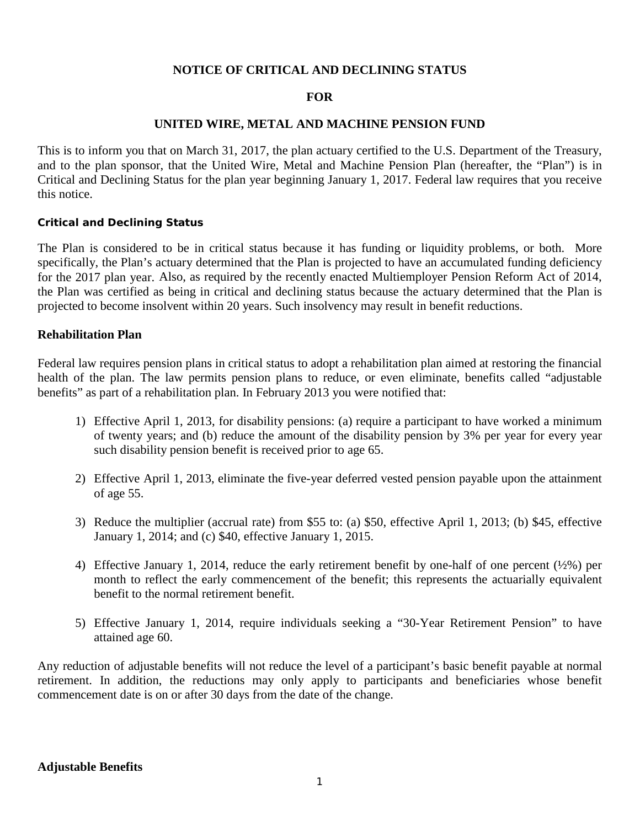## **NOTICE OF CRITICAL AND DECLINING STATUS**

### **FOR**

### **UNITED WIRE, METAL AND MACHINE PENSION FUND**

This is to inform you that on March 31, 2017, the plan actuary certified to the U.S. Department of the Treasury, and to the plan sponsor, that the United Wire, Metal and Machine Pension Plan (hereafter, the "Plan") is in Critical and Declining Status for the plan year beginning January 1, 2017. Federal law requires that you receive this notice.

#### **Critical and Declining Status**

The Plan is considered to be in critical status because it has funding or liquidity problems, or both. More specifically, the Plan's actuary determined that the Plan is projected to have an accumulated funding deficiency for the 2017 plan year. Also, as required by the recently enacted Multiemployer Pension Reform Act of 2014, the Plan was certified as being in critical and declining status because the actuary determined that the Plan is projected to become insolvent within 20 years. Such insolvency may result in benefit reductions.

## **Rehabilitation Plan**

Federal law requires pension plans in critical status to adopt a rehabilitation plan aimed at restoring the financial health of the plan. The law permits pension plans to reduce, or even eliminate, benefits called "adjustable benefits" as part of a rehabilitation plan. In February 2013 you were notified that:

- 1) Effective April 1, 2013, for disability pensions: (a) require a participant to have worked a minimum of twenty years; and (b) reduce the amount of the disability pension by 3% per year for every year such disability pension benefit is received prior to age 65.
- 2) Effective April 1, 2013, eliminate the five-year deferred vested pension payable upon the attainment of age 55.
- 3) Reduce the multiplier (accrual rate) from \$55 to: (a) \$50, effective April 1, 2013; (b) \$45, effective January 1, 2014; and (c) \$40, effective January 1, 2015.
- 4) Effective January 1, 2014, reduce the early retirement benefit by one-half of one percent (½%) per month to reflect the early commencement of the benefit; this represents the actuarially equivalent benefit to the normal retirement benefit.
- 5) Effective January 1, 2014, require individuals seeking a "30-Year Retirement Pension" to have attained age 60.

Any reduction of adjustable benefits will not reduce the level of a participant's basic benefit payable at normal retirement. In addition, the reductions may only apply to participants and beneficiaries whose benefit commencement date is on or after 30 days from the date of the change.